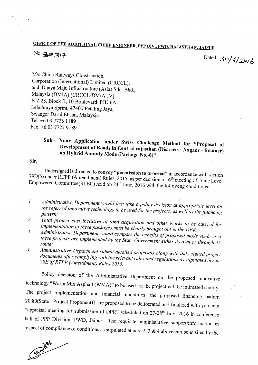## OFFICE OF THE ADDITIONAL CHIEF ENGINEER, PPP DIV., PWD, RAJASTHAN, JAIPUR

## No.  $397$

Dated:  $30/6/20/6$ 

*MIs* China Railways Construction, Corporation (International) Limited (CRCCL), and Dhaya Maju Infrastructure (Asia) Sdn. Bhd., Malaysia (DMIA) [CRCCL-DMIA IV] B-2-28,Block B, 10 Boulevard ,PJU 6A, Lebuhraya Sprint, 47400 Petaling Jaya, Selangor Darul Ehsan, Malaysia. Tel: +6 03 7726 1189 Fax: +6 03 7727 9189

## Sub:- Your Application under Swiss Challenge Method for "Proposal of Development of Roads in Central rajasthan (Districts: Nagaur - Bikaner) on Hybrid Annuity Mode (Package No.-6)"

Sir,

Undersigned is directed to convey "permission to proceed" in accordance with section 79D(5) under RTPP (Amendment) Rules, 2015, as per decision of  $6<sup>th</sup>$  meeting of State Level Empowered Committee(SLEC) held on  $24<sup>th</sup>$  June, 2016 with the following conditions:

- *1. Administrative Department wouldfirst take a policy decision at appropriate level on the referred innovative technology to be used/or theprojects, as well as thefinancing pattern;*
- *2. Total project cost inclusive of land acquisition and other works to be carried for implementation of these packages must be clearly brought out in the DPR:*
- *3. Administrative Department would compare the benefits of proposed mode vis-a-vis if theseprojects are implemented by the State Government either its own or through JV route;*
- *4. Administrative Department submit detailed proposals along with duly signed project documents after complying with the relevantrules and regulations as stipulated in rule 79£ 0/RTPP (Amendment) Rules 2015.*

Policy decision of the Administrative Department on the proposed innovative technology "Warm Mix Asphalt (WMA)" to be used for the project will be intimated shortly. The project implementation and financial modalities [the proposed financing pattern 20:80(State : Project Proponent)] are proposed to be deliberated and finalized with you in a "appraisal meeting for submission of DPR" scheduled on 27-28<sup>th</sup> July, 2016 in conference hall of PPP Division, PWD, Jaipur. The requisite administrative support/information in respect of compliance of conditions as stipulated at para 2, 3  $\&$  4 above can be availed by the

**Candy Add**